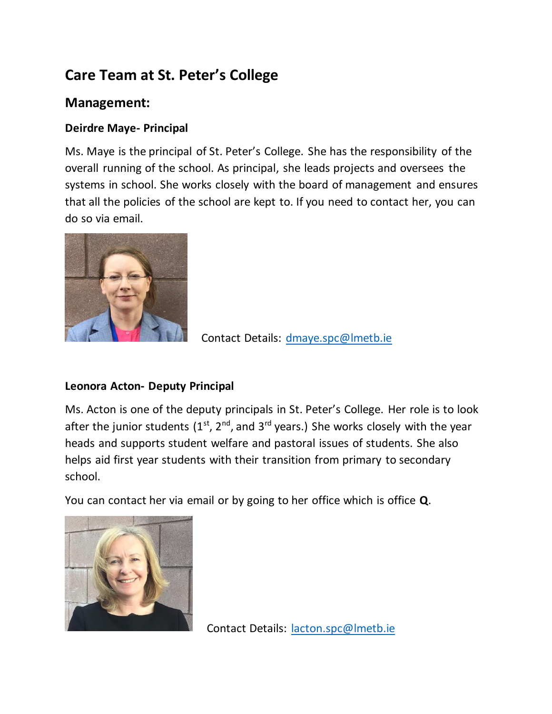# **Care Team at St. Peter's College**

## **Management:**

### **Deirdre Maye- Principal**

Ms. Maye is the principal of St. Peter's College. She has the responsibility of the overall running of the school. As principal, she leads projects and oversees the systems in school. She works closely with the board of management and ensures that all the policies of the school are kept to. If you need to contact her, you can do so via email.



Contact Details: [dmaye.spc@lmetb.ie](mailto:dmaye.spc@lmetb.ie)

### **Leonora Acton- Deputy Principal**

Ms. Acton is one of the deputy principals in St. Peter's College. Her role is to look after the junior students (1<sup>st</sup>, 2<sup>nd</sup>, and 3<sup>rd</sup> years.) She works closely with the year heads and supports student welfare and pastoral issues of students. She also helps aid first year students with their transition from primary to secondary school.

You can contact her via email or by going to her office which is office **Q**.



Contact Details: [lacton.spc@lmetb.ie](mailto:lacton.spc@lmetb.ie)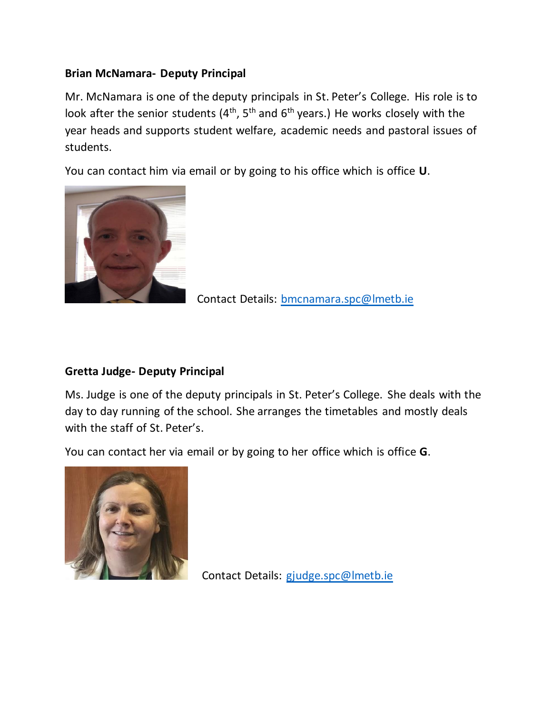#### **Brian McNamara- Deputy Principal**

Mr. McNamara is one of the deputy principals in St. Peter's College. His role is to look after the senior students  $(4^{th}, 5^{th}$  and  $6^{th}$  years.) He works closely with the year heads and supports student welfare, academic needs and pastoral issues of students.

You can contact him via email or by going to his office which is office **U**.



Contact Details: [bmcnamara.spc@lmetb.ie](mailto:bmcnamra.spc@lmetb.ie)

#### **Gretta Judge- Deputy Principal**

Ms. Judge is one of the deputy principals in St. Peter's College. She deals with the day to day running of the school. She arranges the timetables and mostly deals with the staff of St. Peter's.

You can contact her via email or by going to her office which is office **G**.



Contact Details: [gjudge.spc@lmetb.ie](mailto:gjudge.spc@lmetb.ie)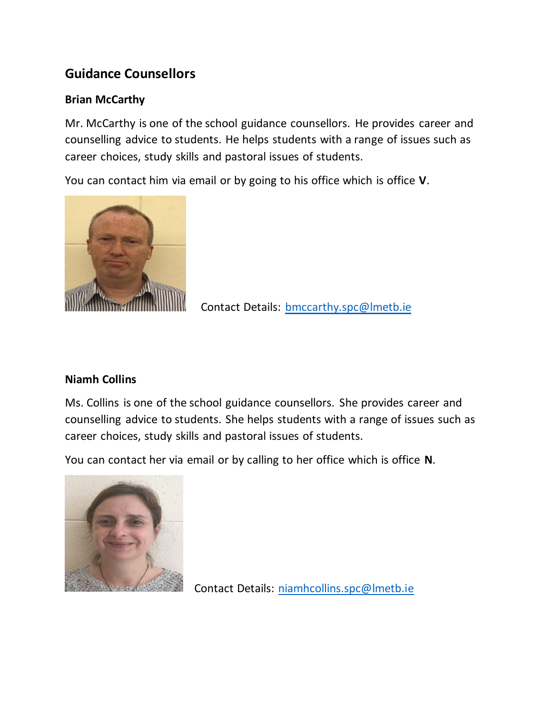# **Guidance Counsellors**

#### **Brian McCarthy**

Mr. McCarthy is one of the school guidance counsellors. He provides career and counselling advice to students. He helps students with a range of issues such as career choices, study skills and pastoral issues of students.

You can contact him via email or by going to his office which is office **V**.



Contact Details: [bmccarthy.spc@lmetb.ie](mailto:bmccarthy.spc@lmetb.ie)

#### **Niamh Collins**

Ms. Collins is one of the school guidance counsellors. She provides career and counselling advice to students. She helps students with a range of issues such as career choices, study skills and pastoral issues of students.

You can contact her via email or by calling to her office which is office **N**.



Contact Details: [niamhcollins.spc@lmetb.ie](mailto:niamhcollins.spc@lmetb.ie)